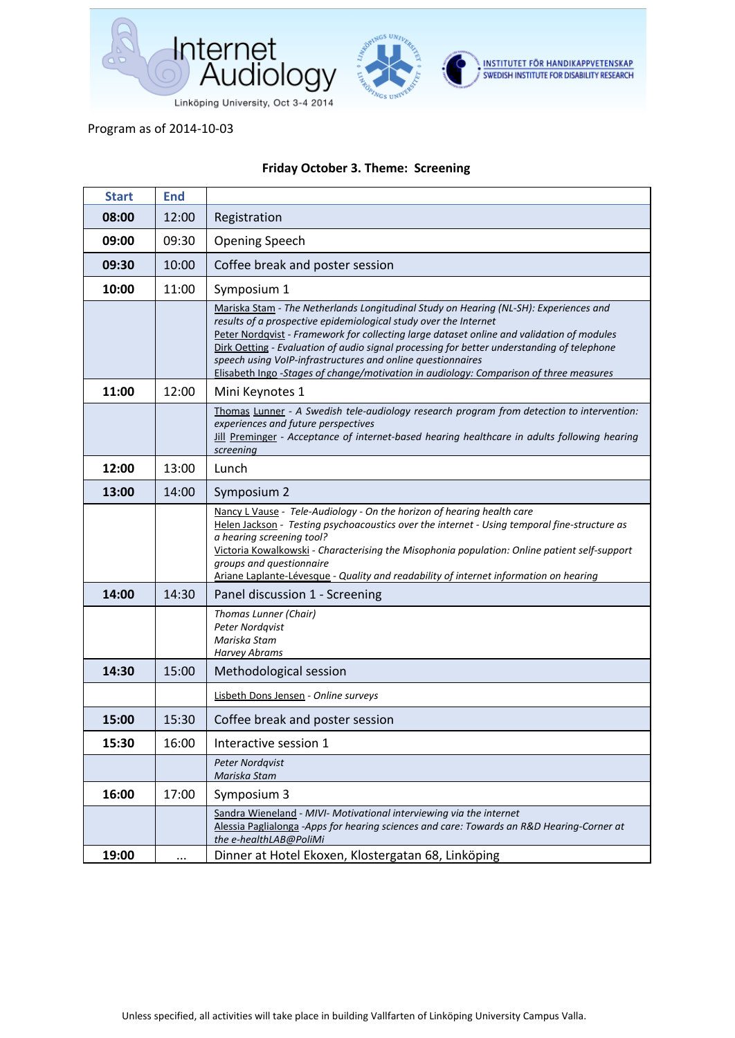

## Program as of 2014-10-03

## **Friday October 3. Theme: Screening**

| <b>Start</b> | <b>End</b> |                                                                                                                                                                                                                                                                                                                                                                                                                                                                                                               |
|--------------|------------|---------------------------------------------------------------------------------------------------------------------------------------------------------------------------------------------------------------------------------------------------------------------------------------------------------------------------------------------------------------------------------------------------------------------------------------------------------------------------------------------------------------|
| 08:00        | 12:00      | Registration                                                                                                                                                                                                                                                                                                                                                                                                                                                                                                  |
| 09:00        | 09:30      | <b>Opening Speech</b>                                                                                                                                                                                                                                                                                                                                                                                                                                                                                         |
| 09:30        | 10:00      | Coffee break and poster session                                                                                                                                                                                                                                                                                                                                                                                                                                                                               |
| 10:00        | 11:00      | Symposium 1                                                                                                                                                                                                                                                                                                                                                                                                                                                                                                   |
|              |            | Mariska Stam - The Netherlands Longitudinal Study on Hearing (NL-SH): Experiences and<br>results of a prospective epidemiological study over the Internet<br>Peter Nordqvist - Framework for collecting large dataset online and validation of modules<br>Dirk Oetting - Evaluation of audio signal processing for better understanding of telephone<br>speech using VoIP-infrastructures and online questionnaires<br>Elisabeth Ingo -Stages of change/motivation in audiology: Comparison of three measures |
| 11:00        | 12:00      | Mini Keynotes 1                                                                                                                                                                                                                                                                                                                                                                                                                                                                                               |
|              |            | Thomas Lunner - A Swedish tele-audiology research program from detection to intervention:<br>experiences and future perspectives<br>Jill Preminger - Acceptance of internet-based hearing healthcare in adults following hearing<br>screening                                                                                                                                                                                                                                                                 |
| 12:00        | 13:00      | Lunch                                                                                                                                                                                                                                                                                                                                                                                                                                                                                                         |
| 13:00        | 14:00      | Symposium 2                                                                                                                                                                                                                                                                                                                                                                                                                                                                                                   |
|              |            | Nancy L Vause - Tele-Audiology - On the horizon of hearing health care<br>Helen Jackson - Testing psychoacoustics over the internet - Using temporal fine-structure as<br>a hearing screening tool?<br>Victoria Kowalkowski - Characterising the Misophonia population: Online patient self-support<br>groups and questionnaire<br>Ariane Laplante-Lévesque - Quality and readability of internet information on hearing                                                                                      |
| 14:00        | 14:30      | Panel discussion 1 - Screening                                                                                                                                                                                                                                                                                                                                                                                                                                                                                |
|              |            | Thomas Lunner (Chair)<br>Peter Nordqvist<br>Mariska Stam<br><b>Harvey Abrams</b>                                                                                                                                                                                                                                                                                                                                                                                                                              |
| 14:30        | 15:00      | Methodological session                                                                                                                                                                                                                                                                                                                                                                                                                                                                                        |
|              |            | Lisbeth Dons Jensen - Online surveys                                                                                                                                                                                                                                                                                                                                                                                                                                                                          |
| 15:00        | 15:30      | Coffee break and poster session                                                                                                                                                                                                                                                                                                                                                                                                                                                                               |
| 15:30        | 16:00      | Interactive session 1                                                                                                                                                                                                                                                                                                                                                                                                                                                                                         |
|              |            | <b>Peter Nordgvist</b><br>Mariska Stam                                                                                                                                                                                                                                                                                                                                                                                                                                                                        |
| 16:00        | 17:00      | Symposium 3                                                                                                                                                                                                                                                                                                                                                                                                                                                                                                   |
| 19:00        |            | Sandra Wieneland - MIVI- Motivational interviewing via the internet<br>Alessia Paglialonga -Apps for hearing sciences and care: Towards an R&D Hearing-Corner at<br>the e-healthLAB@PoliMi<br>Dinner at Hotel Ekoxen, Klostergatan 68, Linköping                                                                                                                                                                                                                                                              |
|              |            |                                                                                                                                                                                                                                                                                                                                                                                                                                                                                                               |